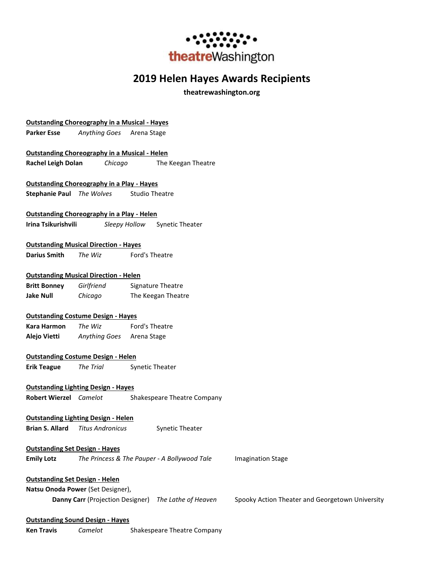

# **2019 Helen Hayes Awards Recipients**

**theatrewashington.org**

|                                       | <b>Outstanding Choreography in a Musical - Hayes</b> |                                                      |                                                 |
|---------------------------------------|------------------------------------------------------|------------------------------------------------------|-------------------------------------------------|
| <b>Parker Esse</b>                    | Anything Goes                                        | Arena Stage                                          |                                                 |
|                                       |                                                      |                                                      |                                                 |
|                                       | <b>Outstanding Choreography in a Musical - Helen</b> |                                                      |                                                 |
| <b>Rachel Leigh Dolan</b>             | Chicago                                              | The Keegan Theatre                                   |                                                 |
|                                       |                                                      |                                                      |                                                 |
|                                       | <b>Outstanding Choreography in a Play - Hayes</b>    |                                                      |                                                 |
|                                       | <b>Stephanie Paul</b> The Wolves                     | <b>Studio Theatre</b>                                |                                                 |
|                                       | <b>Outstanding Choreography in a Play - Helen</b>    |                                                      |                                                 |
| Irina Tsikurishvili                   |                                                      | Sleepy Hollow<br><b>Synetic Theater</b>              |                                                 |
|                                       |                                                      |                                                      |                                                 |
|                                       | <b>Outstanding Musical Direction - Hayes</b>         |                                                      |                                                 |
| <b>Darius Smith</b>                   | The Wiz                                              | Ford's Theatre                                       |                                                 |
|                                       |                                                      |                                                      |                                                 |
|                                       | <b>Outstanding Musical Direction - Helen</b>         |                                                      |                                                 |
| <b>Britt Bonney</b>                   | Girlfriend                                           | Signature Theatre                                    |                                                 |
| <b>Jake Null</b>                      | Chicago                                              | The Keegan Theatre                                   |                                                 |
|                                       |                                                      |                                                      |                                                 |
|                                       | <b>Outstanding Costume Design - Hayes</b>            |                                                      |                                                 |
| Kara Harmon                           | The Wiz                                              | Ford's Theatre                                       |                                                 |
| Alejo Vietti                          | Anything Goes                                        | Arena Stage                                          |                                                 |
|                                       |                                                      |                                                      |                                                 |
|                                       | <b>Outstanding Costume Design - Helen</b>            |                                                      |                                                 |
| <b>Erik Teague</b>                    | The Trial                                            | Synetic Theater                                      |                                                 |
|                                       | <b>Outstanding Lighting Design - Hayes</b>           |                                                      |                                                 |
| <b>Robert Wierzel</b> Camelot         |                                                      | Shakespeare Theatre Company                          |                                                 |
|                                       |                                                      |                                                      |                                                 |
|                                       | <b>Outstanding Lighting Design - Helen</b>           |                                                      |                                                 |
| <b>Brian S. Allard</b>                | <b>Titus Andronicus</b>                              | Synetic Theater                                      |                                                 |
|                                       |                                                      |                                                      |                                                 |
| <b>Outstanding Set Design - Hayes</b> |                                                      |                                                      |                                                 |
| <b>Emily Lotz</b>                     |                                                      | The Princess & The Pauper - A Bollywood Tale         | <b>Imagination Stage</b>                        |
|                                       |                                                      |                                                      |                                                 |
| <b>Outstanding Set Design - Helen</b> |                                                      |                                                      |                                                 |
|                                       | Natsu Onoda Power (Set Designer),                    |                                                      |                                                 |
|                                       |                                                      | Danny Carr (Projection Designer) The Lathe of Heaven | Spooky Action Theater and Georgetown University |
|                                       |                                                      |                                                      |                                                 |
|                                       | <b>Outstanding Sound Design - Hayes</b>              |                                                      |                                                 |
| <b>Ken Travis</b>                     | Camelot                                              | Shakespeare Theatre Company                          |                                                 |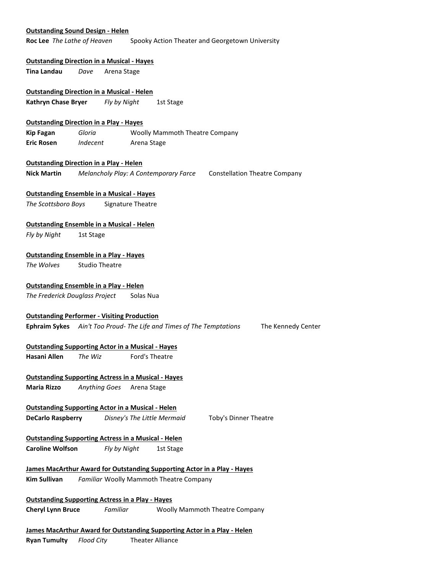### **Outstanding Sound Design - Helen**

**Roc Lee** *The Lathe of Heaven* Spooky Action Theater and Georgetown University

### **Outstanding Direction in a Musical - Hayes**

**Tina Landau** *Dave* Arena Stage

### **Outstanding Direction in a Musical - Helen**

**Kathryn Chase Bryer** *Fly by Night* 1st Stage

### **Outstanding Direction in a Play - Hayes**

**Kip Fagan** *Gloria* Woolly Mammoth Theatre Company **Eric Rosen** *Indecent* Arena Stage

### **Outstanding Direction in a Play - Helen**

**Nick Martin** *Melancholy Play: A Contemporary Farce* Constellation Theatre Company

### **Outstanding Ensemble in a Musical - Hayes**

*The Scottsboro Boys* Signature Theatre

### **Outstanding Ensemble in a Musical - Helen**

*Fly by Night* 1st Stage

### **Outstanding Ensemble in a Play - Hayes**

*The Wolves* Studio Theatre

### **Outstanding Ensemble in a Play - Helen**

*The Frederick Douglass Project* Solas Nua

#### **Outstanding Performer - Visiting Production**

**Ephraim Sykes** *Ain't Too Proud- The Life and Times of The Temptations* The Kennedy Center

### **Outstanding Supporting Actor in a Musical - Hayes**

**Hasani Allen** *The Wiz* Ford's Theatre

### **Outstanding Supporting Actress in a Musical - Hayes**

**Maria Rizzo** *Anything Goes* Arena Stage

### **Outstanding Supporting Actor in a Musical - Helen**

**DeCarlo Raspberry** *Disney's The Little Mermaid* Toby's Dinner Theatre

## **Outstanding Supporting Actress in a Musical - Helen**

**Caroline Wolfson** *Fly by Night* 1st Stage

## **James MacArthur Award for Outstanding Supporting Actor in a Play - Hayes Kim Sullivan** *Familiar* Woolly Mammoth Theatre Company

**Outstanding Supporting Actress in a Play - Hayes**

**Cheryl Lynn Bruce** *Familiar* Woolly Mammoth Theatre Company

### **James MacArthur Award for Outstanding Supporting Actor in a Play - Helen**

**Ryan Tumulty** *Flood City* Theater Alliance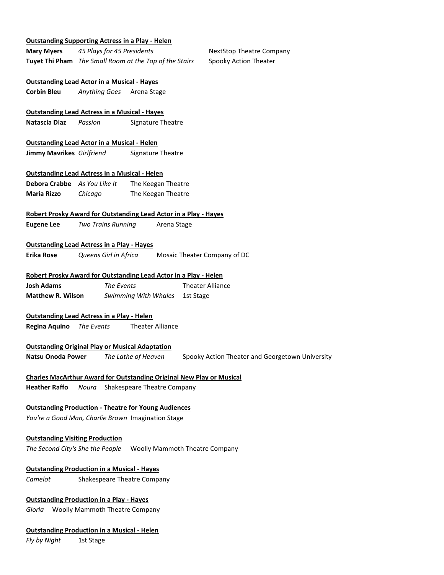### **Outstanding Supporting Actress in a Play - Helen**

**Mary Myers** 45 Plays for 45 Presidents **NextStop Theatre Company Tuyet Thi Pham** *The Small Room at the Top of the Stairs* Spooky Action Theater

## **Outstanding Lead Actor in a Musical - Hayes**

**Corbin Bleu** *Anything Goes* Arena Stage

## **Outstanding Lead Actress in a Musical - Hayes**

**Natascia Diaz** *Passion* Signature Theatre

## **Outstanding Lead Actor in a Musical - Helen**

**Jimmy Mavrikes** *Girlfriend* Signature Theatre

### **Outstanding Lead Actress in a Musical - Helen**

**Debora Crabbe** *As You Like It* The Keegan Theatre **Maria Rizzo** *Chicago* The Keegan Theatre

### **Robert Prosky Award for Outstanding Lead Actor in a Play - Hayes**

**Eugene Lee** *Two Trains Running* Arena Stage

### **Outstanding Lead Actress in a Play - Hayes**

**Erika Rose** *Queens Girl in Africa* Mosaic Theater Company of DC

### **Robert Prosky Award for Outstanding Lead Actor in a Play - Helen**

**Josh Adams** *The Events* **Theater Alliance Matthew R. Wilson** *Swimming With Whales* 1st Stage

### **Outstanding Lead Actress in a Play - Helen**

**Regina Aquino** *The Events* Theater Alliance

### **Outstanding Original Play or Musical Adaptation**

**Natsu Onoda Power** *The Lathe of Heaven* Spooky Action Theater and Georgetown University

## **Charles MacArthur Award for Outstanding Original New Play or Musical**

**Heather Raffo** *Noura* Shakespeare Theatre Company

### **Outstanding Production - Theatre for Young Audiences**

*You're a Good Man, Charlie Brown* Imagination Stage

### **Outstanding Visiting Production**

*The Second City's She the People* Woolly Mammoth Theatre Company

### **Outstanding Production in a Musical - Hayes**

*Camelot* Shakespeare Theatre Company

## **Outstanding Production in a Play - Hayes**

*Gloria* Woolly Mammoth Theatre Company

### **Outstanding Production in a Musical - Helen**

*Fly by Night* 1st Stage